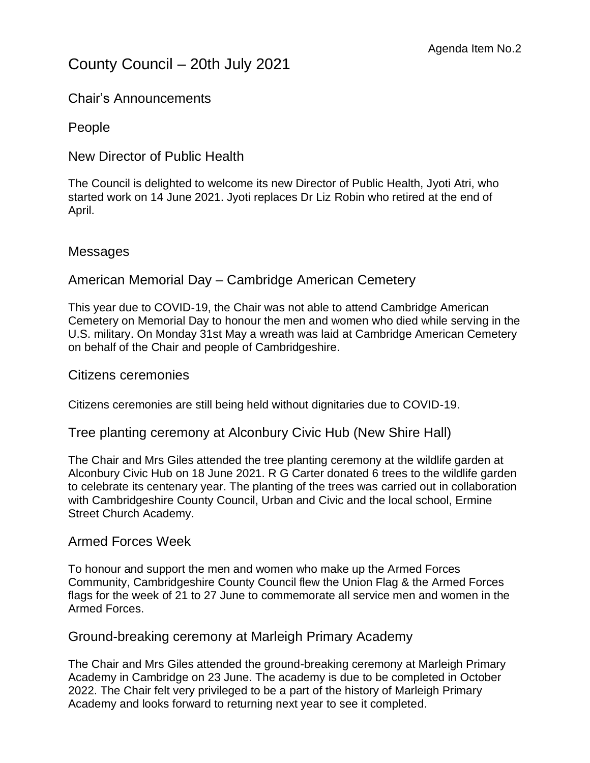# County Council – 20th July 2021

Chair's Announcements

People

New Director of Public Health

The Council is delighted to welcome its new Director of Public Health, Jyoti Atri, who started work on 14 June 2021. Jyoti replaces Dr Liz Robin who retired at the end of April.

### **Messages**

## American Memorial Day – Cambridge American Cemetery

This year due to COVID-19, the Chair was not able to attend Cambridge American Cemetery on Memorial Day to honour the men and women who died while serving in the U.S. military. On Monday 31st May a wreath was laid at Cambridge American Cemetery on behalf of the Chair and people of Cambridgeshire.

Citizens ceremonies

Citizens ceremonies are still being held without dignitaries due to COVID-19.

Tree planting ceremony at Alconbury Civic Hub (New Shire Hall)

The Chair and Mrs Giles attended the tree planting ceremony at the wildlife garden at Alconbury Civic Hub on 18 June 2021. R G Carter donated 6 trees to the wildlife garden to celebrate its centenary year. The planting of the trees was carried out in collaboration with Cambridgeshire County Council, Urban and Civic and the local school, Ermine Street Church Academy.

### Armed Forces Week

To honour and support the men and women who make up the Armed Forces Community, Cambridgeshire County Council flew the Union Flag & the Armed Forces flags for the week of 21 to 27 June to commemorate all service men and women in the Armed Forces.

Ground-breaking ceremony at Marleigh Primary Academy

The Chair and Mrs Giles attended the ground-breaking ceremony at Marleigh Primary Academy in Cambridge on 23 June. The academy is due to be completed in October 2022. The Chair felt very privileged to be a part of the history of Marleigh Primary Academy and looks forward to returning next year to see it completed.